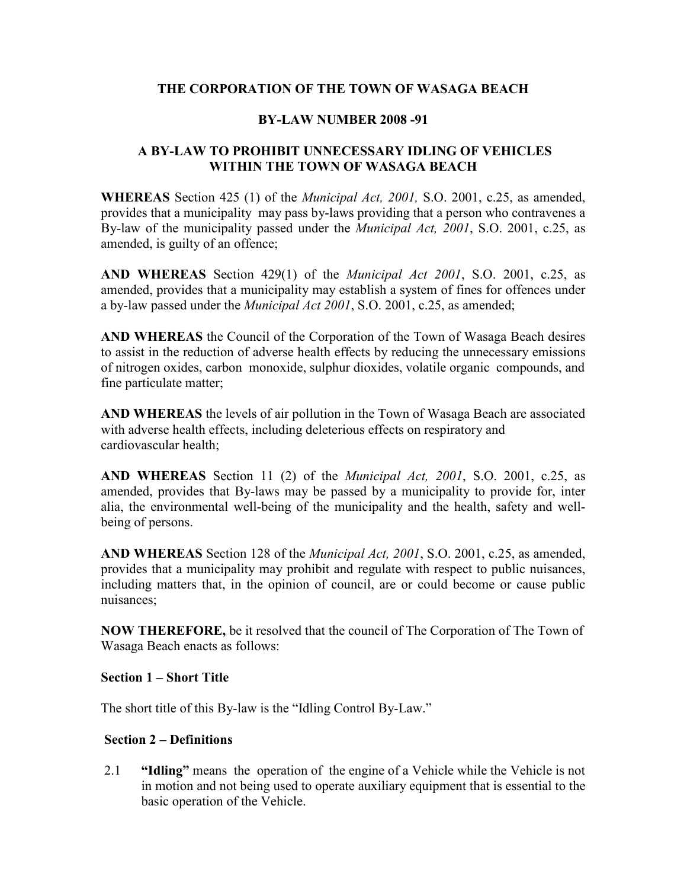# **THE CORPORATION OF THE TOWN OF WASAGA BEACH**

## **BY-LAW NUMBER 2008 -91**

# **A BY-LAW TO PROHIBIT UNNECESSARY IDLING OF VEHICLES WITHIN THE TOWN OF WASAGA BEACH**

**WHEREAS** Section 425 (1) of the *Municipal Act, 2001,* S.O. 2001, c.25, as amended, provides that a municipality may pass by-laws providing that a person who contravenes a By-law of the municipality passed under the *Municipal Act, 2001*, S.O. 2001, c.25, as amended, is guilty of an offence;

**AND WHEREAS** Section 429(1) of the *Municipal Act 2001*, S.O. 2001, c.25, as amended, provides that a municipality may establish a system of fines for offences under a by-law passed under the *Municipal Act 2001*, S.O. 2001, c.25, as amended;

**AND WHEREAS** the Council of the Corporation of the Town of Wasaga Beach desires to assist in the reduction of adverse health effects by reducing the unnecessary emissions of nitrogen oxides, carbon monoxide, sulphur dioxides, volatile organic compounds, and fine particulate matter;

**AND WHEREAS** the levels of air pollution in the Town of Wasaga Beach are associated with adverse health effects, including deleterious effects on respiratory and cardiovascular health;

**AND WHEREAS** Section 11 (2) of the *Municipal Act, 2001*, S.O. 2001, c.25, as amended, provides that By-laws may be passed by a municipality to provide for, inter alia, the environmental well-being of the municipality and the health, safety and wellbeing of persons.

**AND WHEREAS** Section 128 of the *Municipal Act, 2001*, S.O. 2001, c.25, as amended, provides that a municipality may prohibit and regulate with respect to public nuisances, including matters that, in the opinion of council, are or could become or cause public nuisances;

**NOW THEREFORE,** be it resolved that the council of The Corporation of The Town of Wasaga Beach enacts as follows:

**Section 1 – Short Title** 

The short title of this By-law is the "Idling Control By-Law."

### **Section 2 – Definitions**

2.1 **"Idling"** means the operation of the engine of a Vehicle while the Vehicle is not in motion and not being used to operate auxiliary equipment that is essential to the basic operation of the Vehicle.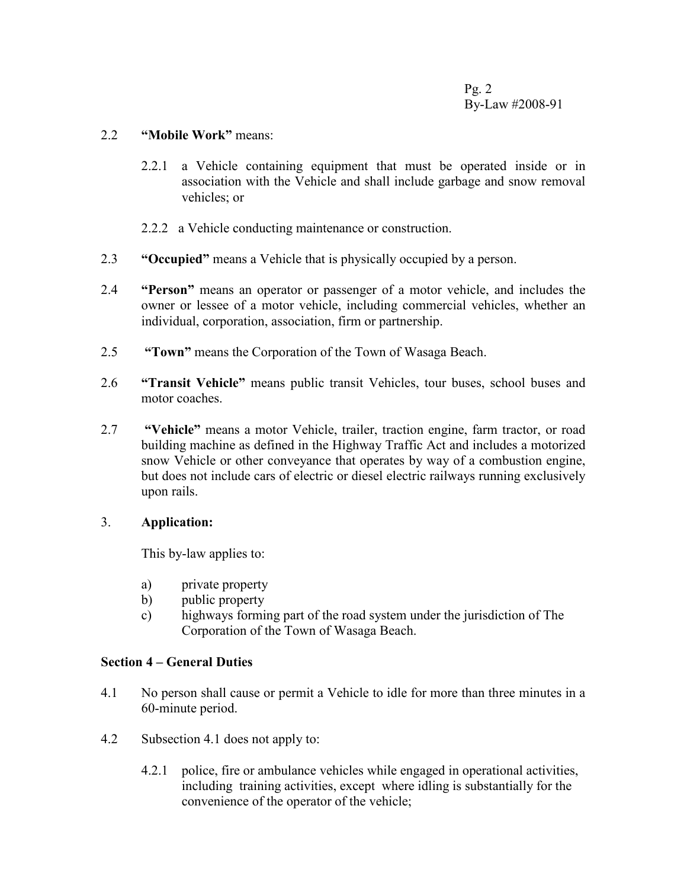Pg. 2 By-Law #2008-91

#### 2.2 **"Mobile Work"** means:

- 2.2.1 a Vehicle containing equipment that must be operated inside or in association with the Vehicle and shall include garbage and snow removal vehicles; or
- 2.2.2 a Vehicle conducting maintenance or construction.
- 2.3 **"Occupied"** means a Vehicle that is physically occupied by a person.
- 2.4 **"Person"** means an operator or passenger of a motor vehicle, and includes the owner or lessee of a motor vehicle, including commercial vehicles, whether an individual, corporation, association, firm or partnership.
- 2.5 **"Town"** means the Corporation of the Town of Wasaga Beach.
- 2.6 **"Transit Vehicle"** means public transit Vehicles, tour buses, school buses and motor coaches.
- 2.7 **"Vehicle"** means a motor Vehicle, trailer, traction engine, farm tractor, or road building machine as defined in the Highway Traffic Act and includes a motorized snow Vehicle or other conveyance that operates by way of a combustion engine, but does not include cars of electric or diesel electric railways running exclusively upon rails.

### 3. **Application:**

This by-law applies to:

- a) private property
- b) public property
- c) highways forming part of the road system under the jurisdiction of The Corporation of the Town of Wasaga Beach.

#### **Section 4 – General Duties**

- 4.1 No person shall cause or permit a Vehicle to idle for more than three minutes in a 60-minute period.
- 4.2 Subsection 4.1 does not apply to:
	- 4.2.1 police, fire or ambulance vehicles while engaged in operational activities, including training activities, except where idling is substantially for the convenience of the operator of the vehicle;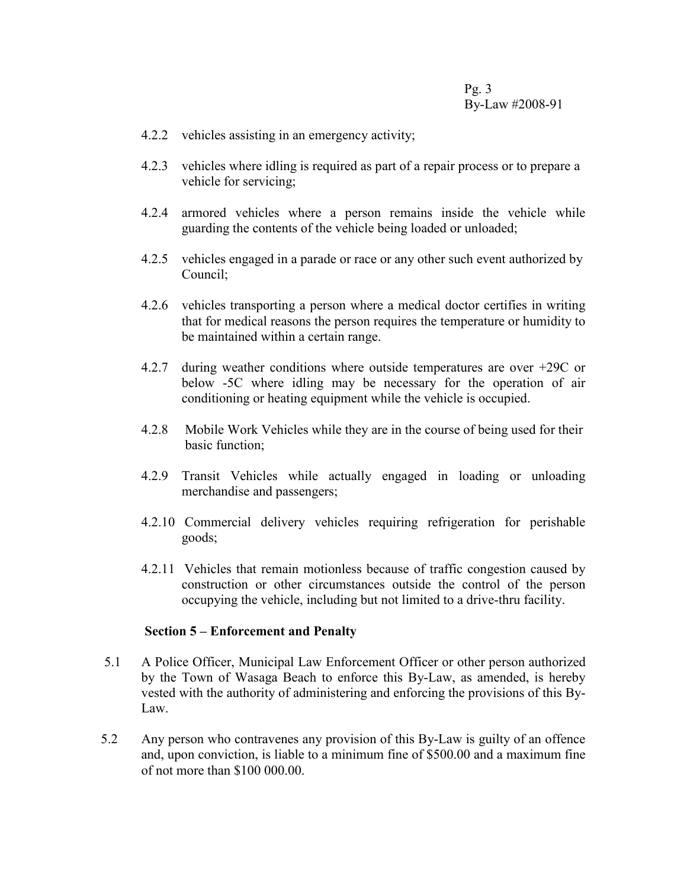- 4.2.2 vehicles assisting in an emergency activity;
- 4.2.3 vehicles where idling is required as part of a repair process or to prepare a vehicle for servicing;
- 4.2.4 armored vehicles where a person remains inside the vehicle while guarding the contents of the vehicle being loaded or unloaded;
- 4.2.5 vehicles engaged in a parade or race or any other such event authorized by Council;
- 4.2.6 vehicles transporting a person where a medical doctor certifies in writing that for medical reasons the person requires the temperature or humidity to be maintained within a certain range.
- 4.2.7 during weather conditions where outside temperatures are over +29C or below -5C where idling may be necessary for the operation of air conditioning or heating equipment while the vehicle is occupied.
- 4.2.8 Mobile Work Vehicles while they are in the course of being used for their basic function;
- 4.2.9 Transit Vehicles while actually engaged in loading or unloading merchandise and passengers;
- 4.2.10 Commercial delivery vehicles requiring refrigeration for perishable goods;
- 4.2.11 Vehicles that remain motionless because of traffic congestion caused by construction or other circumstances outside the control of the person occupying the vehicle, including but not limited to a drive-thru facility.

#### **Section 5 – Enforcement and Penalty**

- 5.1 A Police Officer, Municipal Law Enforcement Officer or other person authorized by the Town of Wasaga Beach to enforce this By-Law, as amended, is hereby vested with the authority of administering and enforcing the provisions of this By-Law.
- 5.2 Any person who contravenes any provision of this By-Law is guilty of an offence and, upon conviction, is liable to a minimum fine of \$500.00 and a maximum fine of not more than \$100 000.00.